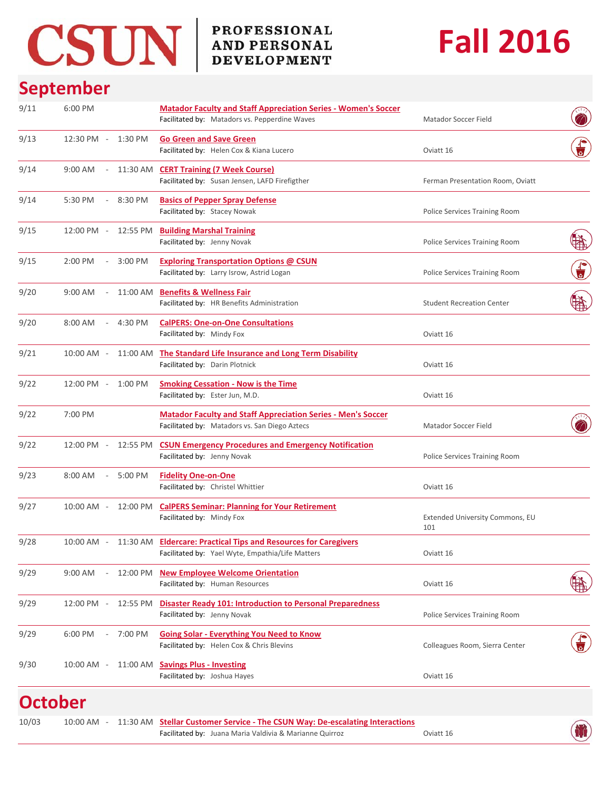# CSUN BROFESSIONAL AND PERSONAL

## **Fall 2016**

## **September**

| 9/11 | 6:00 PM                             |          | <b>Matador Faculty and Staff Appreciation Series - Women's Soccer</b>                                                |                                        |                    |
|------|-------------------------------------|----------|----------------------------------------------------------------------------------------------------------------------|----------------------------------------|--------------------|
|      |                                     |          | Facilitated by: Matadors vs. Pepperdine Waves                                                                        | Matador Soccer Field                   |                    |
| 9/13 | 12:30 PM -                          | 1:30 PM  | <b>Go Green and Save Green</b><br>Facilitated by: Helen Cox & Kiana Lucero                                           | Oviatt 16                              |                    |
| 9/14 | 9:00 AM<br>$\sim$ $-$               |          | 11:30 AM CERT Training (7 Week Course)<br>Facilitated by: Susan Jensen, LAFD Firefigther                             | Ferman Presentation Room, Oviatt       |                    |
| 9/14 | 5:30 PM<br>$\sim$                   | 8:30 PM  | <b>Basics of Pepper Spray Defense</b><br>Facilitated by: Stacey Nowak                                                | Police Services Training Room          |                    |
| 9/15 | 12:00 PM -                          | 12:55 PM | <b>Building Marshal Training</b><br>Facilitated by: Jenny Novak                                                      | Police Services Training Room          |                    |
| 9/15 | 2:00 PM<br>$\overline{\phantom{a}}$ | 3:00 PM  | <b>Exploring Transportation Options @ CSUN</b><br>Facilitated by: Larry Isrow, Astrid Logan                          | Police Services Training Room          | $\frac{1}{\sigma}$ |
| 9/20 | 9:00 AM                             | 11:00 AM | <b>Benefits &amp; Wellness Fair</b><br>Facilitated by: HR Benefits Administration                                    | <b>Student Recreation Center</b>       |                    |
| 9/20 | 8:00 AM<br>$\sim$                   | 4:30 PM  | <b>CalPERS: One-on-One Consultations</b><br>Facilitated by: Mindy Fox                                                | Oviatt 16                              |                    |
| 9/21 | 10:00 AM -                          | 11:00 AM | The Standard Life Insurance and Long Term Disability<br>Facilitated by: Darin Plotnick                               | Oviatt 16                              |                    |
| 9/22 | 12:00 PM -                          | 1:00 PM  | <b>Smoking Cessation - Now is the Time</b><br>Facilitated by: Ester Jun, M.D.                                        | Oviatt 16                              |                    |
| 9/22 | 7:00 PM                             |          | <b>Matador Faculty and Staff Appreciation Series - Men's Soccer</b><br>Facilitated by: Matadors vs. San Diego Aztecs | Matador Soccer Field                   |                    |
| 9/22 | 12:00 PM -                          | 12:55 PM | <b>CSUN Emergency Procedures and Emergency Notification</b><br>Facilitated by: Jenny Novak                           | Police Services Training Room          |                    |
| 9/23 | 8:00 AM<br>$\sim$                   | 5:00 PM  | <b>Fidelity One-on-One</b><br>Facilitated by: Christel Whittier                                                      | Oviatt 16                              |                    |
| 9/27 | 10:00 AM -                          | 12:00 PM | <b>CalPERS Seminar: Planning for Your Retirement</b><br>Facilitated by: Mindy Fox                                    | Extended University Commons, EU<br>101 |                    |
| 9/28 | 10:00 AM -                          |          | 11:30 AM Eldercare: Practical Tips and Resources for Caregivers<br>Facilitated by: Yael Wyte, Empathia/Life Matters  | Oviatt 16                              |                    |
| 9/29 | 9:00 AM                             | 12:00 PM | <b>New Employee Welcome Orientation</b><br>Facilitated by: Human Resources                                           | Oviatt 16                              |                    |
| 9/29 | 12:00 PM -                          | 12:55 PM | <b>Disaster Ready 101: Introduction to Personal Preparedness</b><br>Facilitated by: Jenny Novak                      | Police Services Training Room          |                    |
| 9/29 | 6:00 PM                             | 7:00 PM  | <b>Going Solar - Everything You Need to Know</b><br>Facilitated by: Helen Cox & Chris Blevins                        | Colleagues Room, Sierra Center         |                    |
| 9/30 | 10:00 AM -                          | 11:00 AM | <b>Savings Plus - Investing</b><br>Facilitated by: Joshua Hayes                                                      | Oviatt 16                              |                    |
|      | <b>October</b>                      |          |                                                                                                                      |                                        |                    |

Facilitated by: Juana Maria Valdivia & Marianne Quirroz **Canadia 19 and 18 Oviatt 16** 

10:00 AM **Stellar Customer Service ‐ The CSUN Way: De‐escalating Interactions** 10/03 ‐ 11:30 AM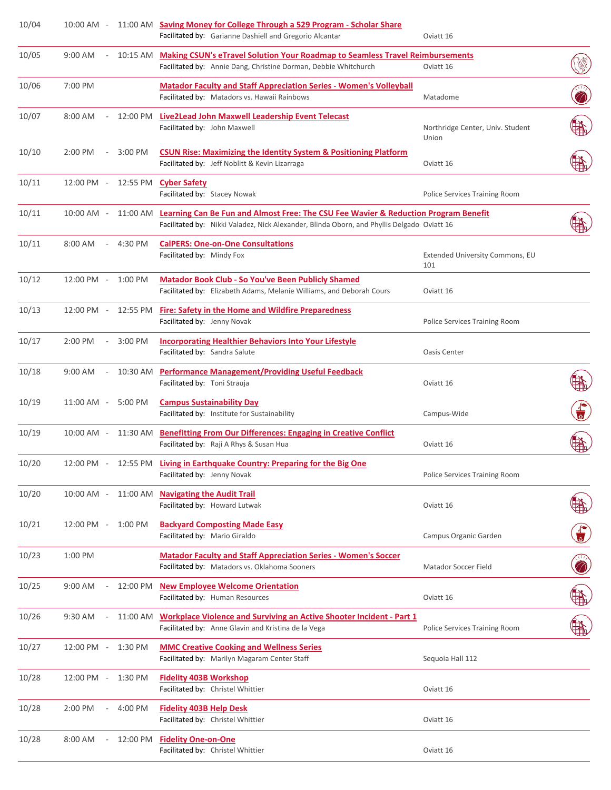| 10/04 | $10:00$ AM $-$ |                          | 11:00 AM | Saving Money for College Through a 529 Program - Scholar Share<br>Facilitated by: Garianne Dashiell and Gregorio Alcantar                                                                    | Oviatt 16                                 |                    |
|-------|----------------|--------------------------|----------|----------------------------------------------------------------------------------------------------------------------------------------------------------------------------------------------|-------------------------------------------|--------------------|
| 10/05 | $9:00$ AM      |                          | 10:15 AM | <b>Making CSUN's eTravel Solution Your Roadmap to Seamless Travel Reimbursements</b><br>Facilitated by: Annie Dang, Christine Dorman, Debbie Whitchurch                                      | Oviatt 16                                 |                    |
| 10/06 | 7:00 PM        |                          |          | <b>Matador Faculty and Staff Appreciation Series - Women's Volleyball</b><br>Facilitated by: Matadors vs. Hawaii Rainbows                                                                    | Matadome                                  |                    |
| 10/07 | $8:00$ AM      | $\overline{\phantom{a}}$ | 12:00 PM | Live2Lead John Maxwell Leadership Event Telecast<br>Facilitated by: John Maxwell                                                                                                             | Northridge Center, Univ. Student<br>Union |                    |
| 10/10 | 2:00 PM        |                          | 3:00 PM  | <b>CSUN Rise: Maximizing the Identity System &amp; Positioning Platform</b><br>Facilitated by: Jeff Noblitt & Kevin Lizarraga                                                                | Oviatt 16                                 |                    |
| 10/11 | 12:00 PM -     |                          | 12:55 PM | <b>Cyber Safety</b><br>Facilitated by: Stacey Nowak                                                                                                                                          | Police Services Training Room             |                    |
| 10/11 | 10:00 AM -     |                          | 11:00 AM | <b>Learning Can Be Fun and Almost Free: The CSU Fee Wavier &amp; Reduction Program Benefit</b><br>Facilitated by: Nikki Valadez, Nick Alexander, Blinda Oborn, and Phyllis Delgado Oviatt 16 |                                           |                    |
| 10/11 | 8:00 AM        |                          | 4:30 PM  | <b>CalPERS: One-on-One Consultations</b><br>Facilitated by: Mindy Fox                                                                                                                        | Extended University Commons, EU<br>101    |                    |
| 10/12 | 12:00 PM -     |                          | 1:00 PM  | <b>Matador Book Club - So You've Been Publicly Shamed</b><br>Facilitated by: Elizabeth Adams, Melanie Williams, and Deborah Cours                                                            | Oviatt 16                                 |                    |
| 10/13 | 12:00 PM -     |                          | 12:55 PM | <b>Fire: Safety in the Home and Wildfire Preparedness</b><br>Facilitated by: Jenny Novak                                                                                                     | Police Services Training Room             |                    |
| 10/17 | 2:00 PM        |                          | 3:00 PM  | <b>Incorporating Healthier Behaviors Into Your Lifestyle</b><br>Facilitated by: Sandra Salute                                                                                                | <b>Oasis Center</b>                       |                    |
| 10/18 | $9:00$ AM      | $\overline{\phantom{a}}$ | 10:30 AM | <b>Performance Management/Providing Useful Feedback</b><br>Facilitated by: Toni Strauja                                                                                                      | Oviatt 16                                 |                    |
| 10/19 | 11:00 AM -     |                          | 5:00 PM  | <b>Campus Sustainability Day</b><br>Facilitated by: Institute for Sustainability                                                                                                             | Campus-Wide                               |                    |
| 10/19 | $10:00$ AM $-$ |                          | 11:30 AM | <b>Benefitting From Our Differences: Engaging in Creative Conflict</b><br>Facilitated by: Raji A Rhys & Susan Hua                                                                            | Oviatt 16                                 |                    |
| 10/20 | 12:00 PM -     |                          | 12:55 PM | Living in Earthquake Country: Preparing for the Big One<br>Facilitated by: Jenny Novak                                                                                                       | Police Services Training Room             |                    |
| 10/20 | 10:00 AM -     |                          | 11:00 AM | <b>Navigating the Audit Trail</b><br>Facilitated by: Howard Lutwak                                                                                                                           | Oviatt 16                                 |                    |
| 10/21 | 12:00 PM       | $\overline{\phantom{a}}$ | 1:00 PM  | <b>Backyard Composting Made Easy</b><br>Facilitated by: Mario Giraldo                                                                                                                        | Campus Organic Garden                     | $\frac{1}{\sigma}$ |
| 10/23 | 1:00 PM        |                          |          | <b>Matador Faculty and Staff Appreciation Series - Women's Soccer</b><br>Facilitated by: Matadors vs. Oklahoma Sooners                                                                       | Matador Soccer Field                      |                    |
| 10/25 | $9:00$ AM      |                          | 12:00 PM | <b>New Employee Welcome Orientation</b><br>Facilitated by: Human Resources                                                                                                                   | Oviatt 16                                 |                    |
| 10/26 | 9:30 AM        |                          | 11:00 AM | <b>Workplace Violence and Surviving an Active Shooter Incident - Part 1</b><br>Facilitated by: Anne Glavin and Kristina de la Vega                                                           | Police Services Training Room             |                    |
| 10/27 | 12:00 PM -     |                          | 1:30 PM  | <b>MMC Creative Cooking and Wellness Series</b><br>Facilitated by: Marilyn Magaram Center Staff                                                                                              | Sequoia Hall 112                          |                    |
| 10/28 | 12:00 PM -     |                          | 1:30 PM  | <b>Fidelity 403B Workshop</b><br>Facilitated by: Christel Whittier                                                                                                                           | Oviatt 16                                 |                    |
| 10/28 | 2:00 PM        | $\overline{\phantom{a}}$ | 4:00 PM  | <b>Fidelity 403B Help Desk</b><br>Facilitated by: Christel Whittier                                                                                                                          | Oviatt 16                                 |                    |
| 10/28 | 8:00 AM        | $\overline{\phantom{a}}$ | 12:00 PM | <b>Fidelity One-on-One</b><br>Facilitated by: Christel Whittier                                                                                                                              | Oviatt 16                                 |                    |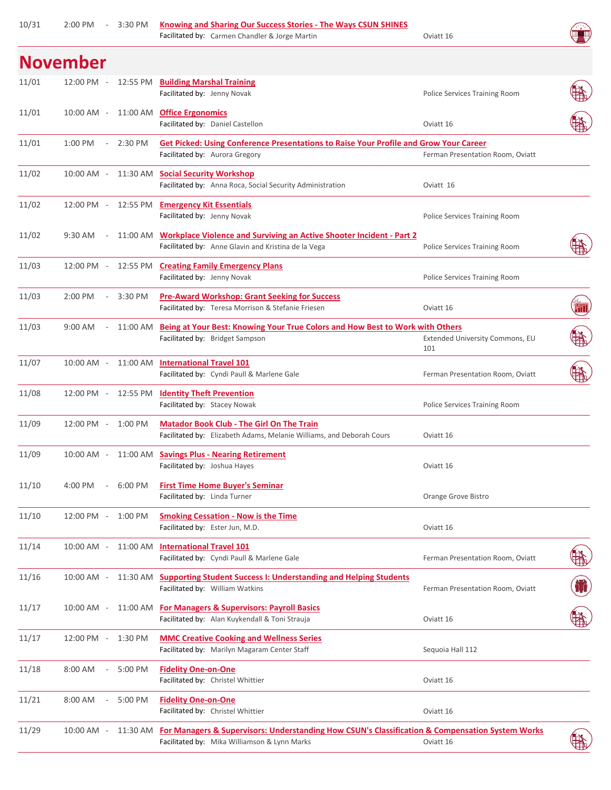| 10/31 | ZIUU PIVI           | - 3:30 PM | Knowing and Sharing Our Success Stories - The Ways CSUN SHINES<br>Facilitated by: Carmen Chandler & Jorge Martin                                         | Oviatt 16                              |   |
|-------|---------------------|-----------|----------------------------------------------------------------------------------------------------------------------------------------------------------|----------------------------------------|---|
|       | <b>November</b>     |           |                                                                                                                                                          |                                        |   |
| 11/01 | 12:00 PM -          |           | 12:55 PM Building Marshal Training<br>Facilitated by: Jenny Novak                                                                                        | Police Services Training Room          |   |
| 11/01 | $10:00$ AM $-$      |           | 11:00 AM Office Ergonomics<br>Facilitated by: Daniel Castellon                                                                                           | Oviatt 16                              |   |
| 11/01 | 1:00 PM<br>$\sim$   | 2:30 PM   | <b>Get Picked: Using Conference Presentations to Raise Your Profile and Grow Your Career</b><br>Facilitated by: Aurora Gregory                           | Ferman Presentation Room, Oviatt       |   |
| 11/02 | 10:00 AM -          |           | 11:30 AM Social Security Workshop<br>Facilitated by: Anna Roca, Social Security Administration                                                           | Oviatt 16                              |   |
| 11/02 | 12:00 PM -          |           | 12:55 PM Emergency Kit Essentials<br>Facilitated by: Jenny Novak                                                                                         | Police Services Training Room          |   |
| 11/02 | $9:30$ AM           | 11:00 AM  | <b>Workplace Violence and Surviving an Active Shooter Incident - Part 2</b><br>Facilitated by: Anne Glavin and Kristina de la Vega                       | Police Services Training Room          |   |
| 11/03 | $12:00$ PM $-$      |           | 12:55 PM Creating Family Emergency Plans<br>Facilitated by: Jenny Novak                                                                                  | Police Services Training Room          |   |
| 11/03 | $2:00$ PM           | 3:30 PM   | <b>Pre-Award Workshop: Grant Seeking for Success</b><br>Facilitated by: Teresa Morrison & Stefanie Friesen                                               | Oviatt 16                              | m |
| 11/03 | $9:00$ AM<br>$\sim$ |           | 11:00 AM Being at Your Best: Knowing Your True Colors and How Best to Work with Others<br>Facilitated by: Bridget Sampson                                | Extended University Commons, EU<br>101 |   |
| 11/07 | 10:00 AM -          |           | 11:00 AM International Travel 101<br>Facilitated by: Cyndi Paull & Marlene Gale                                                                          | Ferman Presentation Room, Oviatt       |   |
| 11/08 |                     |           | 12:00 PM - 12:55 PM Identity Theft Prevention<br>Facilitated by: Stacey Nowak                                                                            | Police Services Training Room          |   |
| 11/09 | 12:00 PM - 1:00 PM  |           | <b>Matador Book Club - The Girl On The Train</b><br>Facilitated by: Elizabeth Adams, Melanie Williams, and Deborah Cours                                 | Oviatt 16                              |   |
| 11/09 | $10:00$ AM $-$      |           | 11:00 AM Savings Plus - Nearing Retirement<br>Facilitated by: Joshua Hayes                                                                               | Oviatt 16                              |   |
| 11/10 | 4:00 PM<br>$\sim$   | 6:00 PM   | <b>First Time Home Buyer's Seminar</b><br>Facilitated by: Linda Turner                                                                                   | Orange Grove Bistro                    |   |
| 11/10 | 12:00 PM - 1:00 PM  |           | <b>Smoking Cessation - Now is the Time</b><br>Facilitated by: Ester Jun, M.D.                                                                            | Oviatt 16                              |   |
| 11/14 | $10:00$ AM $-$      | 11:00 AM  | <b>International Travel 101</b><br>Facilitated by: Cyndi Paull & Marlene Gale                                                                            | Ferman Presentation Room, Oviatt       |   |
| 11/16 |                     |           | 10:00 AM - 11:30 AM Supporting Student Success I: Understanding and Helping Students<br>Facilitated by: William Watkins                                  | Ferman Presentation Room, Oviatt       | T |
| 11/17 |                     |           | 10:00 AM - 11:00 AM For Managers & Supervisors: Payroll Basics<br>Facilitated by: Alan Kuykendall & Toni Strauja                                         | Oviatt 16                              |   |
| 11/17 | 12:00 PM - 1:30 PM  |           | <b>MMC Creative Cooking and Wellness Series</b><br>Facilitated by: Marilyn Magaram Center Staff                                                          | Sequoia Hall 112                       |   |
| 11/18 | 8:00 AM<br>$\sim$   | 5:00 PM   | <b>Fidelity One-on-One</b><br>Facilitated by: Christel Whittier                                                                                          | Oviatt 16                              |   |
| 11/21 | 8:00 AM<br>$\sim$   | 5:00 PM   | <b>Fidelity One-on-One</b><br>Facilitated by: Christel Whittier                                                                                          | Oviatt 16                              |   |
| 11/29 | 10:00 AM -          |           | 11:30 AM For Managers & Supervisors: Understanding How CSUN's Classification & Compensation System Works<br>Facilitated by: Mika Williamson & Lynn Marks | Oviatt 16                              |   |
|       |                     |           |                                                                                                                                                          |                                        |   |

2:00 PM **Knowing and Sharing Our Success Stories ‐ The Ways CSUN SHINES**

10/31 ‐ 3:30 PM